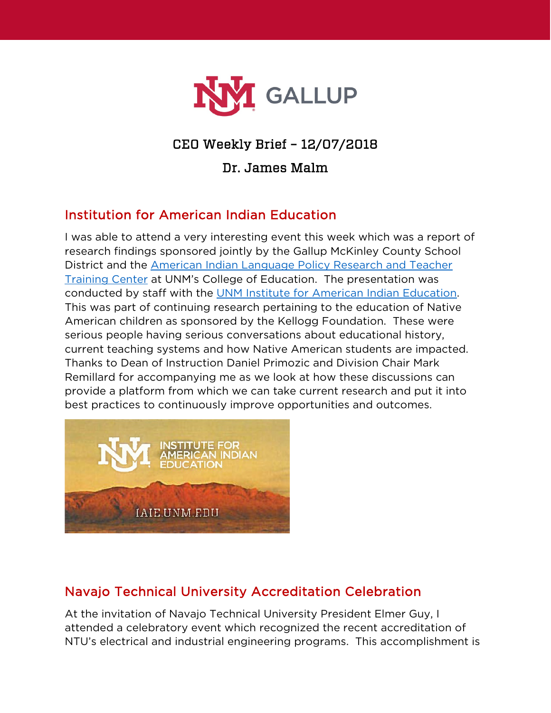

## CEO Weekly Brief – 12/07/2018

#### Dr. James Malm

### Institution for American Indian Education

I was able to attend a very interesting event this week which was a report of research findings sponsored jointly by the Gallup McKinley County School District and the [American Indian Language Policy Research and Teacher](https://coe.unm.edu/uploads/docs/coe-main/about-coe/educting-nm-w08-lang-policy.pdf)  [Training Center](https://coe.unm.edu/uploads/docs/coe-main/about-coe/educting-nm-w08-lang-policy.pdf) at UNM's College of Education. The presentation was conducted by staff with the [UNM Institute for American Indian Education.](https://coe.unm.edu/administration/institutes-centers.html) This was part of continuing research pertaining to the education of Native American children as sponsored by the Kellogg Foundation. These were serious people having serious conversations about educational history, current teaching systems and how Native American students are impacted. Thanks to Dean of Instruction Daniel Primozic and Division Chair Mark Remillard for accompanying me as we look at how these discussions can provide a platform from which we can take current research and put it into best practices to continuously improve opportunities and outcomes.



# Navajo Technical University Accreditation Celebration

At the invitation of Navajo Technical University President Elmer Guy, I attended a celebratory event which recognized the recent accreditation of NTU's electrical and industrial engineering programs. This accomplishment is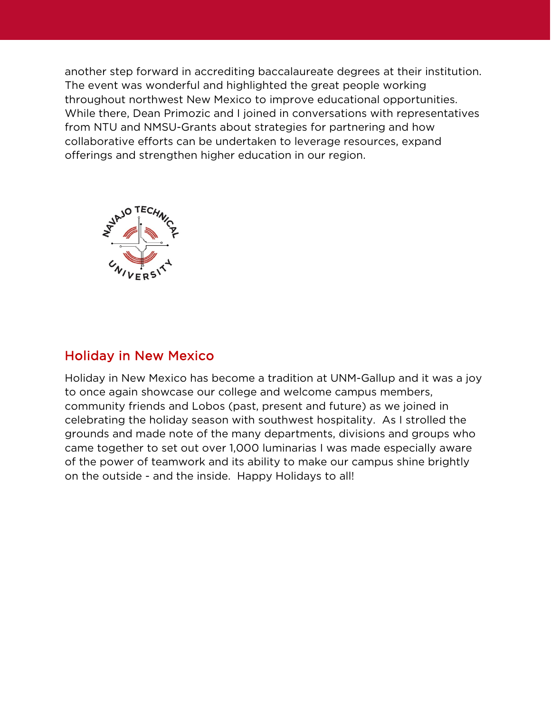another step forward in accrediting baccalaureate degrees at their institution. The event was wonderful and highlighted the great people working throughout northwest New Mexico to improve educational opportunities. While there, Dean Primozic and I joined in conversations with representatives from NTU and NMSU-Grants about strategies for partnering and how collaborative efforts can be undertaken to leverage resources, expand offerings and strengthen higher education in our region.



#### Holiday in New Mexico

Holiday in New Mexico has become a tradition at UNM-Gallup and it was a joy to once again showcase our college and welcome campus members, community friends and Lobos (past, present and future) as we joined in celebrating the holiday season with southwest hospitality. As I strolled the grounds and made note of the many departments, divisions and groups who came together to set out over 1,000 luminarias I was made especially aware of the power of teamwork and its ability to make our campus shine brightly on the outside - and the inside. Happy Holidays to all!